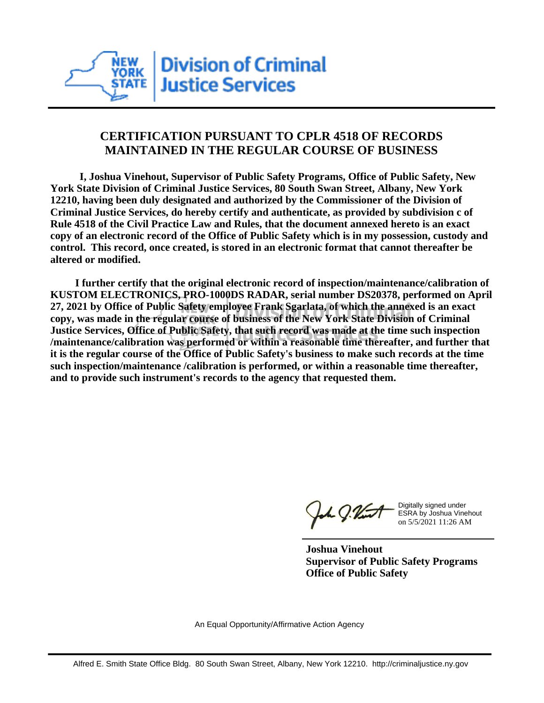

## **CERTIFICATION PURSUANT TO CPLR 4518 OF RECORDS MAINTAINED IN THE REGULAR COURSE OF BUSINESS**

 **I, Joshua Vinehout, Supervisor of Public Safety Programs, Office of Public Safety, New York State Division of Criminal Justice Services, 80 South Swan Street, Albany, New York 12210, having been duly designated and authorized by the Commissioner of the Division of Criminal Justice Services, do hereby certify and authenticate, as provided by subdivision c of Rule 4518 of the Civil Practice Law and Rules, that the document annexed hereto is an exact copy of an electronic record of the Office of Public Safety which is in my possession, custody and control. This record, once created, is stored in an electronic format that cannot thereafter be altered or modified.**

 **I further certify that the original electronic record of inspection/maintenance/calibration of KUSTOM ELECTRONICS, PRO-1000DS RADAR, serial number DS20378, performed on April 27, 2021 by Office of Public Safety employee Frank Sgarlata, of which the annexed is an exact copy, was made in the regular course of business of the New York State Division of Criminal Justice Services, Office of Public Safety, that such record was made at the time such inspection /maintenance/calibration was performed or within a reasonable time thereafter, and further that it is the regular course of the Office of Public Safety's business to make such records at the time such inspection/maintenance /calibration is performed, or within a reasonable time thereafter, and to provide such instrument's records to the agency that requested them.**

the J. Vint

Digitally signed under ESRA by Joshua Vinehout on 5/5/2021 11:26 AM

**Joshua Vinehout Supervisor of Public Safety Programs Office of Public Safety**

An Equal Opportunity/Affirmative Action Agency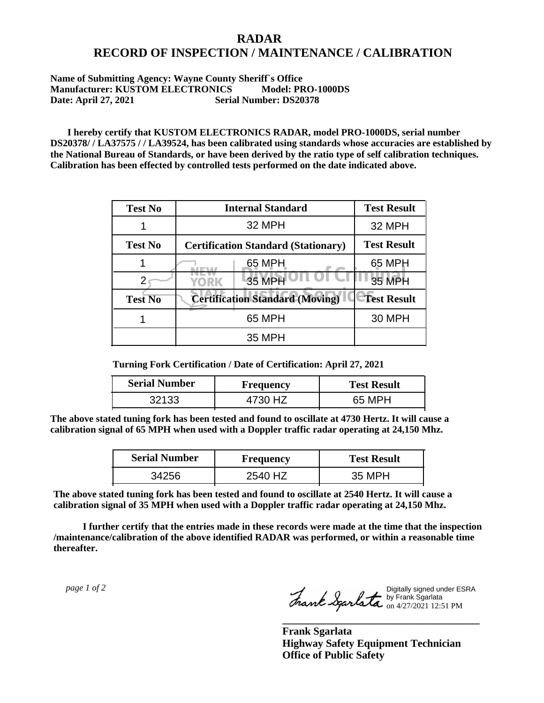## **RADAR RECORD OF INSPECTION / MAINTENANCE / CALIBRATION**

## **Name of Submitting Agency: Wayne County Sheriff`s Office Manufacturer: KUSTOM ELECTRONICS Model: PRO-1000DS Date: April 27, 2021 Serial Number: DS20378**

 **I hereby certify that KUSTOM ELECTRONICS RADAR, model PRO-1000DS, serial number DS20378/ / LA37575 / / LA39524, has been calibrated using standards whose accuracies are established by the National Bureau of Standards, or have been derived by the ratio type of self calibration techniques. Calibration has been effected by controlled tests performed on the date indicated above.**

| <b>Test No</b> | <b>Internal Standard</b>                   | <b>Test Result</b> |
|----------------|--------------------------------------------|--------------------|
|                | 32 MPH                                     | 32 MPH             |
| <b>Test No</b> | <b>Certification Standard (Stationary)</b> | <b>Test Result</b> |
|                | 65 MPH                                     | 65 MPH             |
|                | 35 MPH<br>YORK                             | <b>35 MPH</b>      |
| <b>Test No</b> | <b>Certification Standard (Moving)</b>     | <b>Test Result</b> |
|                | 65 MPH                                     | <b>30 MPH</b>      |
|                | 35 MPH                                     |                    |

**Turning Fork Certification / Date of Certification: April 27, 2021**

| <b>Serial Number</b> | <b>Frequency</b> | <b>Test Result</b> |
|----------------------|------------------|--------------------|
| ふつしび                 |                  | 65 MPH             |

**The above stated tuning fork has been tested and found to oscillate at 4730 Hertz. It will cause a calibration signal of 65 MPH when used with a Doppler traffic radar operating at 24,150 Mhz.**

| <b>Serial Number</b> | <b>Frequency</b> | <b>Test Result</b> |
|----------------------|------------------|--------------------|
| 34256                | 2540 HZ          | 35 MPH             |

**The above stated tuning fork has been tested and found to oscillate at 2540 Hertz. It will cause a calibration signal of 35 MPH when used with a Doppler traffic radar operating at 24,150 Mhz.**

 **I further certify that the entries made in these records were made at the time that the inspection /maintenance/calibration of the above identified RADAR was performed, or within a reasonable time thereafter.**

 *page 1 of 2* 

Digitally signed under ESRA by Frank Sgarlata on 4/27/2021 12:51 PM

**\_\_\_\_\_\_\_\_\_\_\_\_\_\_\_\_\_\_\_\_\_\_\_\_\_\_\_\_\_\_\_\_\_\_\_\_\_**

**Frank Sgarlata Highway Safety Equipment Technician Office of Public Safety**